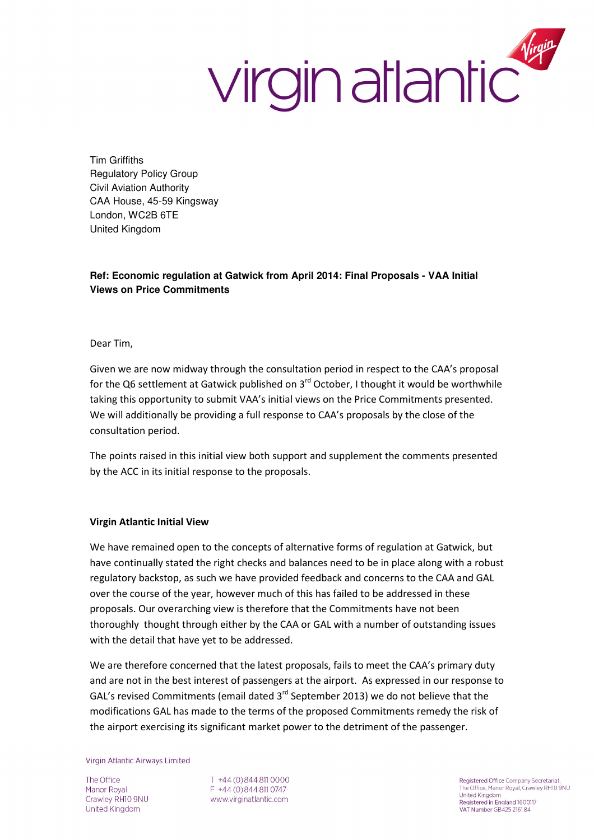## virgin atlantic

Tim Griffiths Regulatory Policy Group Civil Aviation Authority CAA House, 45-59 Kingsway London, WC2B 6TE United Kingdom

## **Ref: Economic regulation at Gatwick from April 2014: Final Proposals - VAA Initial Views on Price Commitments**

Dear Tim,

Given we are now midway through the consultation period in respect to the CAA's proposal for the Q6 settlement at Gatwick published on  $3^{rd}$  October, I thought it would be worthwhile taking this opportunity to submit VAA's initial views on the Price Commitments presented. We will additionally be providing a full response to CAA's proposals by the close of the consultation period.

The points raised in this initial view both support and supplement the comments presented by the ACC in its initial response to the proposals.

## Virgin Atlantic Initial View

We have remained open to the concepts of alternative forms of regulation at Gatwick, but have continually stated the right checks and balances need to be in place along with a robust regulatory backstop, as such we have provided feedback and concerns to the CAA and GAL over the course of the year, however much of this has failed to be addressed in these proposals. Our overarching view is therefore that the Commitments have not been thoroughly thought through either by the CAA or GAL with a number of outstanding issues with the detail that have yet to be addressed.

We are therefore concerned that the latest proposals, fails to meet the CAA's primary duty and are not in the best interest of passengers at the airport. As expressed in our response to GAL's revised Commitments (email dated 3rd September 2013) we do not believe that the modifications GAL has made to the terms of the proposed Commitments remedy the risk of the airport exercising its significant market power to the detriment of the passenger.

**Virgin Atlantic Airways Limited** 

The Office Manor Royal Crawley RH10 9NU United Kingdom

T +44 (0) 844 811 0000 F +44 (0) 844 811 0747 www.virginatlantic.com

Registered Office Company Secretariat,<br>The Office, Manor Royal, Crawley RH10 9NU United Kingdom Registered in England 1600117 VAT Number GB425 2161 84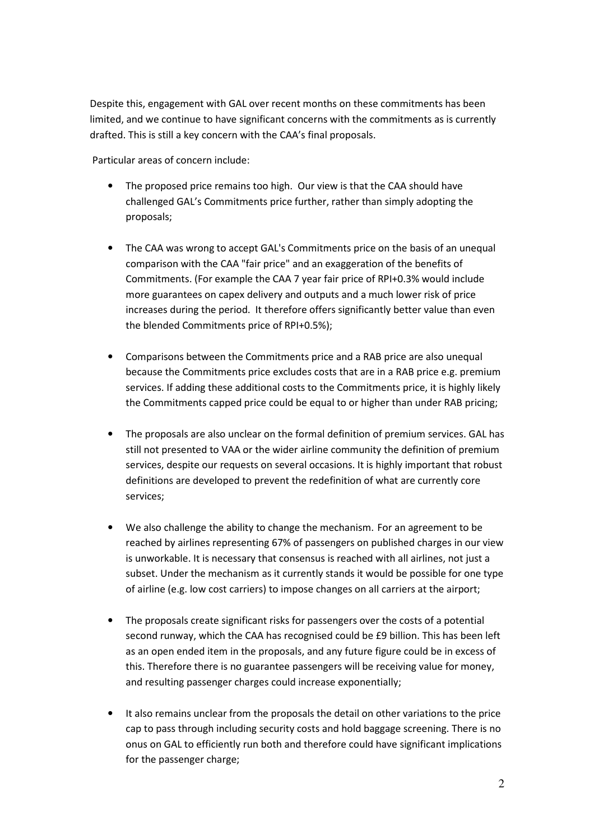Despite this, engagement with GAL over recent months on these commitments has been limited, and we continue to have significant concerns with the commitments as is currently drafted. This is still a key concern with the CAA's final proposals.

Particular areas of concern include:

- The proposed price remains too high. Our view is that the CAA should have challenged GAL's Commitments price further, rather than simply adopting the proposals;
- The CAA was wrong to accept GAL's Commitments price on the basis of an unequal comparison with the CAA "fair price" and an exaggeration of the benefits of Commitments. (For example the CAA 7 year fair price of RPI+0.3% would include more guarantees on capex delivery and outputs and a much lower risk of price increases during the period. It therefore offers significantly better value than even the blended Commitments price of RPI+0.5%);
- Comparisons between the Commitments price and a RAB price are also unequal because the Commitments price excludes costs that are in a RAB price e.g. premium services. If adding these additional costs to the Commitments price, it is highly likely the Commitments capped price could be equal to or higher than under RAB pricing;
- The proposals are also unclear on the formal definition of premium services. GAL has still not presented to VAA or the wider airline community the definition of premium services, despite our requests on several occasions. It is highly important that robust definitions are developed to prevent the redefinition of what are currently core services;
- We also challenge the ability to change the mechanism. For an agreement to be reached by airlines representing 67% of passengers on published charges in our view is unworkable. It is necessary that consensus is reached with all airlines, not just a subset. Under the mechanism as it currently stands it would be possible for one type of airline (e.g. low cost carriers) to impose changes on all carriers at the airport;
- The proposals create significant risks for passengers over the costs of a potential second runway, which the CAA has recognised could be £9 billion. This has been left as an open ended item in the proposals, and any future figure could be in excess of this. Therefore there is no guarantee passengers will be receiving value for money, and resulting passenger charges could increase exponentially;
- It also remains unclear from the proposals the detail on other variations to the price cap to pass through including security costs and hold baggage screening. There is no onus on GAL to efficiently run both and therefore could have significant implications for the passenger charge;